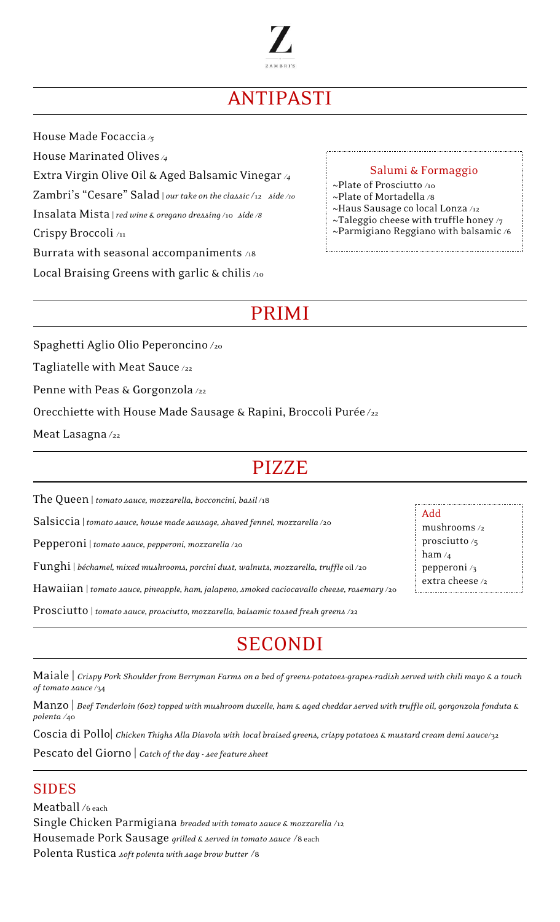

# ANTIPASTI

House Made Focaccia*/5*

House Marinated Olives */4*

Extra Virgin Olive Oil & Aged Balsamic Vinegar */4*

Zambri's "Cesare" Salad | *our take on the classic* /12 *side /10*

Insalata Mista |*red wine & oregano dressing* /10 *side /8*

Crispy Broccoli /11

Burrata with seasonal accompaniments /18

Local Braising Greens with garlic & chilis /10

#### Salumi & Formaggio

~Plate of Prosciutto /10 ~Plate of Mortadella /8

~Haus Sausage co local Lonza /12

~Taleggio cheese with truffle honey  $\gamma$ 

~Parmigiano Reggiano with balsamic /6

PRIMI

Spaghetti Aglio Olio Peperoncino /<sup>20</sup>

Tagliatelle with Meat Sauce /22

Penne with Peas & Gorgonzola /22

Orecchiette with House Made Sausage & Rapini, Broccoli Purée/22

Meat Lasagna $/_{22}$ 

### PIZZE

The Queen | *tomato sauce, mozzarella, bocconcini, basil* /18

Salsiccia | *tomato sauce, house made sausage, shaved fennel, mozzarella* /20

Pepperoni | *tomato sauce, pepperoni, mozzarella* /20

Funghi | *béchamel, mixed mushrooms, porcini dust, walnuts, mozzarella, truffle* oil /20

Hawaiian | *tomato sauce, pineapple, ham, jalapeno, smoked caciocavallo cheese, rosemary* /20

Prosciutto | *tomato sauce, prosciutto, mozzarella, balsamic tossed fresh greens* /22

## SECONDI

Maiale | *Crispy Pork Shoulder from Berryman Farms on a bed of greens-potatoes-grapes-radish served with chili mayo & a touch of tomato sauce* /34

Manzo | *Beef Tenderloin (6oz) topped with mushroom duxelle, ham & aged cheddar served with truffle oil, gorgonzola fonduta & polenta /*40

Coscia di Pollo| *Chicken Thighs Alla Diavola with local braised greens, crispy potatoes & mustard cream demi sauce*/32

Pescato del Giorno | *Catch of the day - see feature sheet*

#### SIDES

Meatball /6 each Single Chicken Parmigiana *breaded with tomato sauce & mozzarella* /<sup>12</sup> Housemade Pork Sausage *grilled & served in tomato sauce* /<sup>8</sup> each Polenta Rustica *soft polenta with sage brow butter* /<sup>8</sup>

Add mushrooms /2 prosciutto /5 ham  $/4$ pepperoni /3 extra cheese /2